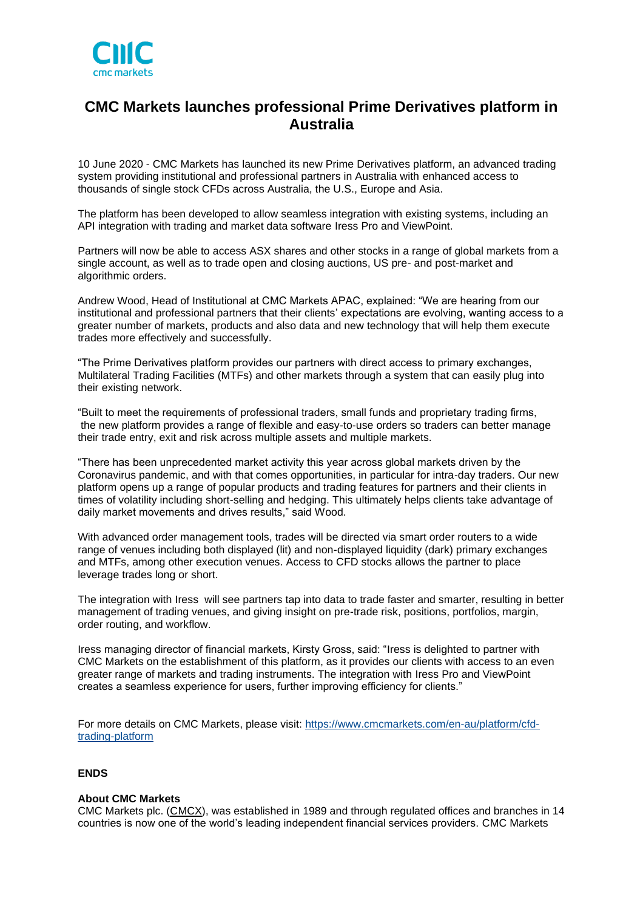

# **CMC Markets launches professional Prime Derivatives platform in Australia**

10 June 2020 - CMC Markets has launched its new Prime Derivatives platform, an advanced trading system providing institutional and professional partners in Australia with enhanced access to thousands of single stock CFDs across Australia, the U.S., Europe and Asia.

The platform has been developed to allow seamless integration with existing systems, including an API integration with trading and market data software Iress Pro and ViewPoint.

Partners will now be able to access ASX shares and other stocks in a range of global markets from a single account, as well as to trade open and closing auctions, US pre- and post-market and algorithmic orders.

Andrew Wood, Head of Institutional at CMC Markets APAC, explained: "We are hearing from our institutional and professional partners that their clients' expectations are evolving, wanting access to a greater number of markets, products and also data and new technology that will help them execute trades more effectively and successfully.

"The Prime Derivatives platform provides our partners with direct access to primary exchanges, Multilateral Trading Facilities (MTFs) and other markets through a system that can easily plug into their existing network.

"Built to meet the requirements of professional traders, small funds and proprietary trading firms, the new platform provides a range of flexible and easy-to-use orders so traders can better manage their trade entry, exit and risk across multiple assets and multiple markets.

"There has been unprecedented market activity this year across global markets driven by the Coronavirus pandemic, and with that comes opportunities, in particular for intra-day traders. Our new platform opens up a range of popular products and trading features for partners and their clients in times of volatility including short-selling and hedging. This ultimately helps clients take advantage of daily market movements and drives results," said Wood.

With advanced order management tools, trades will be directed via smart order routers to a wide range of venues including both displayed (lit) and non-displayed liquidity (dark) primary exchanges and MTFs, among other execution venues. Access to CFD stocks allows the partner to place leverage trades long or short.

The integration with Iress will see partners tap into data to trade faster and smarter, resulting in better management of trading venues, and giving insight on pre-trade risk, positions, portfolios, margin, order routing, and workflow.

Iress managing director of financial markets, Kirsty Gross, said: "Iress is delighted to partner with CMC Markets on the establishment of this platform, as it provides our clients with access to an even greater range of markets and trading instruments. The integration with Iress Pro and ViewPoint creates a seamless experience for users, further improving efficiency for clients."

For more details on CMC Markets, please visit: [https://www.cmcmarkets.com/en-au/platform/cfd](https://www.cmcmarkets.com/en-au/platform/cfd-trading-platform)[trading-platform](https://www.cmcmarkets.com/en-au/platform/cfd-trading-platform)

### **ENDS**

#### **About CMC Markets**

CMC Markets plc. [\(CMCX\)](http://www.cmcmarkets.com/group/), was established in 1989 and through regulated offices and branches in 14 countries is now one of the world's leading independent financial services providers. CMC Markets